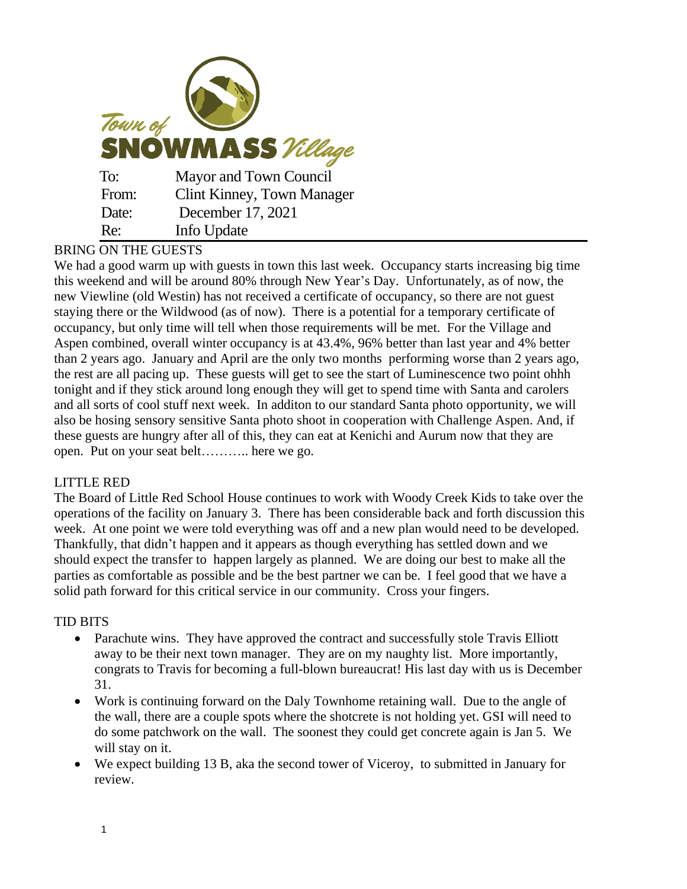| Town of<br><b>SNOWMASS</b> Village |                                   |
|------------------------------------|-----------------------------------|
| To:                                | Mayor and Town Council            |
| From:                              | <b>Clint Kinney, Town Manager</b> |
| Date:                              | December 17, 2021                 |
| Re:                                | Info Update                       |

# BRING ON THE GUESTS

We had a good warm up with guests in town this last week. Occupancy starts increasing big time this weekend and will be around 80% through New Year's Day. Unfortunately, as of now, the new Viewline (old Westin) has not received a certificate of occupancy, so there are not guest staying there or the Wildwood (as of now). There is a potential for a temporary certificate of occupancy, but only time will tell when those requirements will be met. For the Village and Aspen combined, overall winter occupancy is at 43.4%, 96% better than last year and 4% better than 2 years ago. January and April are the only two months performing worse than 2 years ago, the rest are all pacing up. These guests will get to see the start of Luminescence two point ohhh tonight and if they stick around long enough they will get to spend time with Santa and carolers and all sorts of cool stuff next week. In additon to our standard Santa photo opportunity, we will also be hosing sensory sensitive Santa photo shoot in cooperation with Challenge Aspen. And, if these guests are hungry after all of this, they can eat at Kenichi and Aurum now that they are open. Put on your seat belt……….. here we go.

### LITTLE RED

The Board of Little Red School House continues to work with Woody Creek Kids to take over the operations of the facility on January 3. There has been considerable back and forth discussion this week. At one point we were told everything was off and a new plan would need to be developed. Thankfully, that didn't happen and it appears as though everything has settled down and we should expect the transfer to happen largely as planned. We are doing our best to make all the parties as comfortable as possible and be the best partner we can be. I feel good that we have a solid path forward for this critical service in our community. Cross your fingers.

## TID BITS

- Parachute wins. They have approved the contract and successfully stole Travis Elliott away to be their next town manager. They are on my naughty list. More importantly, congrats to Travis for becoming a full-blown bureaucrat! His last day with us is December 31.
- Work is continuing forward on the Daly Townhome retaining wall. Due to the angle of the wall, there are a couple spots where the shotcrete is not holding yet. GSI will need to do some patchwork on the wall. The soonest they could get concrete again is Jan 5. We will stay on it.
- We expect building 13 B, aka the second tower of Viceroy, to submitted in January for review.